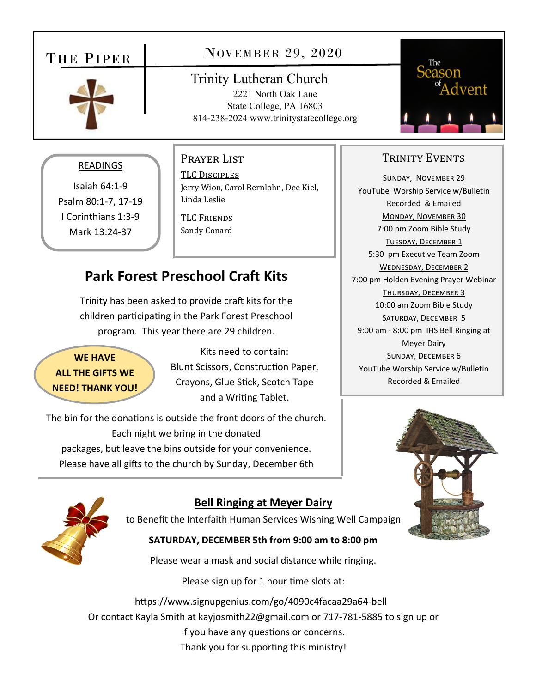## THE PIPER



### NOVEMBER 29, 2020

Trinity Lutheran Church 2221 North Oak Lane State College, PA 16803 814-238-2024 www.trinitystatecollege.org



### READINGS

Isaiah 64:1‐9 Psalm 80:1‐7, 17‐19 I Corinthians 1:3‐9 Mark 13:24‐37

#### Prayer List

TLC DISCIPLES Jerry Wion, Carol Bernlohr , Dee Kiel, Linda Leslie

TLC FRIENDS Sandy Conard

# **Park Forest Preschool Craft Kits**

Trinity has been asked to provide craft kits for the children participating in the Park Forest Preschool program. This year there are 29 children.

**WE HAVE ALL THE GIFTS WE NEED! THANK YOU!**

Kits need to contain: Blunt Scissors, Construction Paper, Crayons, Glue Stick, Scotch Tape and a Writing Tablet.

The bin for the donations is outside the front doors of the church. Each night we bring in the donated packages, but leave the bins outside for your convenience. Please have all gifts to the church by Sunday, December 6th



### **Bell Ringing at Meyer Dairy**

to Benefit the Interfaith Human Services Wishing Well Campaign

#### **SATURDAY, DECEMBER 5th from 9:00 am to 8:00 pm**

Please wear a mask and social distance while ringing.

Please sign up for 1 hour time slots at:

https://www.signupgenius.com/go/4090c4facaa29a64-bell Or contact Kayla Smith at kayjosmith22@gmail.com or 717‐781‐5885 to sign up or if you have any questions or concerns. Thank you for supporting this ministry!

### TRINITY EVENTS

SUNDAY, NOVEMBER 29 YouTube Worship Service w/Bulletin Recorded & Emailed MONDAY, NOVEMBER 30 7:00 pm Zoom Bible Study TUESDAY, DECEMBER 1 5:30 pm Executive Team Zoom WEDNESDAY, DECEMBER 2 7:00 pm Holden Evening Prayer Webinar THURSDAY, DECEMBER 3 10:00 am Zoom Bible Study SATURDAY, DECEMBER 5 9:00 am ‐ 8:00 pm IHS Bell Ringing at Meyer Dairy SUNDAY, DECEMBER 6 YouTube Worship Service w/Bulletin Recorded & Emailed

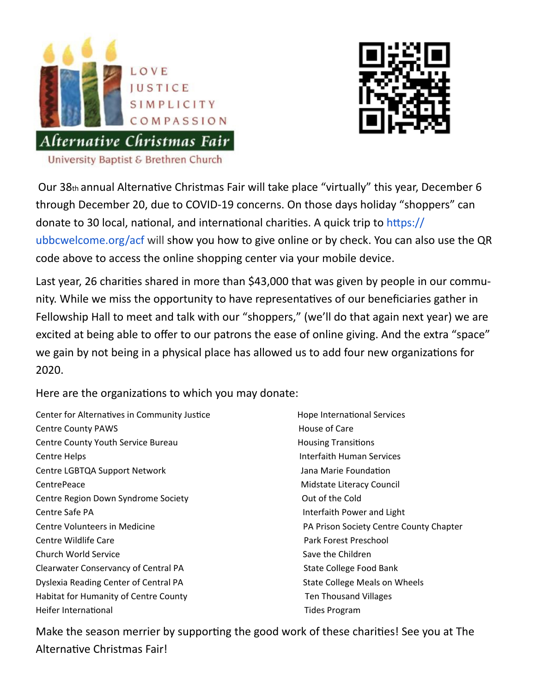



Our 38th annual Alternative Christmas Fair will take place "virtually" this year, December 6 through December 20, due to COVID‐19 concerns. On those days holiday "shoppers" can donate to 30 local, national, and international charities. A quick trip to https:// ubbcwelcome.org/acf will show you how to give online or by check. You can also use the QR code above to access the online shopping center via your mobile device.

Last year, 26 charities shared in more than \$43,000 that was given by people in our community. While we miss the opportunity to have representatives of our beneficiaries gather in Fellowship Hall to meet and talk with our "shoppers," (we'll do that again next year) we are excited at being able to offer to our patrons the ease of online giving. And the extra "space" we gain by not being in a physical place has allowed us to add four new organizations for 2020.

Here are the organizations to which you may donate:

Center for Alternatives in Community Justice **Biggs** Hope International Services Centre County PAWS **Centre County PAWS Example 20 A** Care **House of Care** Centre County Youth Service Bureau **1988 1998 1999 1999 1999 1999 1999 1999 1999 1999 1999 1999 1999 1999 1999 1999 1999 1999 1999 1999 1999 1999 1999 1999 1999 1999 199** Centre Helps Interfaith Human Services Centre LGBTQA Support Network Jana Marie FoundaƟon CentrePeace **Council** CentrePeace *CentrePeace* **Council CentrePeace Council Centre** Centre Region Down Syndrome Society **by a struck of the Cold** Out of the Cold Centre Safe PA Interfaith Power and Light Centre Volunteers in Medicine **Society Centre County Chapter** Chapter **County Chapter** County Chapter Centre Wildlife Care Park Forest Preschool Church World Service Save the Children Clearwater Conservancy of Central PA State College Food Bank Dyslexia Reading Center of Central PA State College Meals on Wheels Habitat for Humanity of Centre County Ten Thousand Villages Heifer International **Base of the Contract of Transform** Tides Program

Make the season merrier by supporting the good work of these charities! See you at The Alternative Christmas Fair!